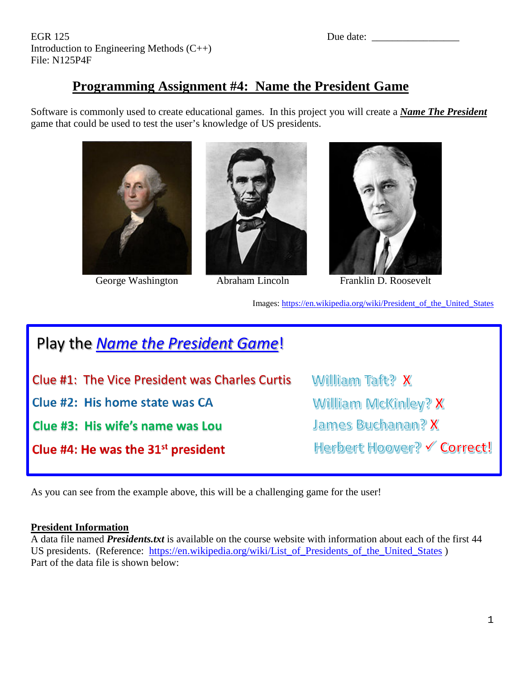EGR 125 Due date: \_\_\_\_\_\_\_\_\_\_\_\_\_\_\_\_\_ Introduction to Engineering Methods (C++) File: N125P4F

# **Programming Assignment #4: Name the President Game**

Software is commonly used to create educational games. In this project you will create a *Name The President* game that could be used to test the user's knowledge of US presidents.







George Washington Abraham Lincoln Franklin D. Roosevelt

Images: [https://en.wikipedia.org/wiki/President\\_of\\_the\\_United\\_States](https://en.wikipedia.org/wiki/President_of_the_United_States)

# Play the *Name the President Game*! Clue #1: The Vice President was Charles Curtis Willliam Taft? X Clue #2: His home state was CA William McKinley? X James Buchanan? X **Clue #3: His wife's name was Lou** Herbert Hoover? √ Correct! Clue #4: He was the 31<sup>st</sup> president

As you can see from the example above, this will be a challenging game for the user!

#### **President Information**

A data file named *Presidents.txt* is available on the course website with information about each of the first 44 US presidents. (Reference: [https://en.wikipedia.org/wiki/List\\_of\\_Presidents\\_of\\_the\\_United\\_States](https://en.wikipedia.org/wiki/List_of_Presidents_of_the_United_States) ) Part of the data file is shown below: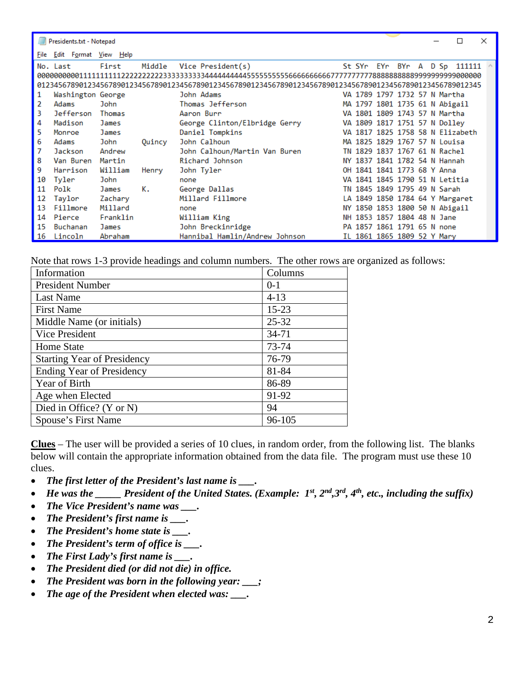|                                                                                                            | Presidents.txt - Notepad                               |  |          |  |        |                                |  |    |  |                                  |  |  | $\times$ |  |
|------------------------------------------------------------------------------------------------------------|--------------------------------------------------------|--|----------|--|--------|--------------------------------|--|----|--|----------------------------------|--|--|----------|--|
| File                                                                                                       | <u>E</u> dit F <u>o</u> rmat <u>V</u> iew <u>H</u> elp |  |          |  |        |                                |  |    |  |                                  |  |  |          |  |
|                                                                                                            | No. Last                                               |  | First    |  | Middle | Vice President(s)              |  |    |  | St SYr EYr BYr A D Sp 111111     |  |  |          |  |
|                                                                                                            |                                                        |  |          |  |        |                                |  |    |  |                                  |  |  |          |  |
| 0123456789012345678901234567890123456789012345678901234567890123456789012345678901234567890123456789012345 |                                                        |  |          |  |        |                                |  |    |  |                                  |  |  |          |  |
| 1                                                                                                          | Washington George                                      |  |          |  |        | John Adams                     |  |    |  | VA 1789 1797 1732 57 N Martha    |  |  |          |  |
| $\mathcal{P}$                                                                                              | Adams                                                  |  | John     |  |        | Thomas Jefferson               |  |    |  | MA 1797 1801 1735 61 N Abigail   |  |  |          |  |
| 3                                                                                                          | Jefferson                                              |  | Thomas   |  |        | Aaron Burr                     |  |    |  | VA 1801 1809 1743 57 N Martha    |  |  |          |  |
| 4                                                                                                          | Madison                                                |  | James    |  |        | George Clinton/Elbridge Gerry  |  |    |  | VA 1809 1817 1751 57 N Dolley    |  |  |          |  |
| 5.                                                                                                         | Monroe                                                 |  | James    |  |        | Daniel Tompkins                |  |    |  | VA 1817 1825 1758 58 N Elizabeth |  |  |          |  |
| 6                                                                                                          | Adams                                                  |  | John     |  | Quincy | John Calhoun                   |  | MΑ |  | 1825 1829 1767 57 N Louisa       |  |  |          |  |
| 7                                                                                                          | Jackson                                                |  | Andrew   |  |        | John Calhoun/Martin Van Buren  |  |    |  | TN 1829 1837 1767 61 N Rachel    |  |  |          |  |
| 8                                                                                                          | Van Buren                                              |  | Martin   |  |        | Richard Johnson                |  |    |  | NY 1837 1841 1782 54 N Hannah    |  |  |          |  |
| 9                                                                                                          | Harrison                                               |  | William  |  | Henry  | John Tyler                     |  |    |  | OH 1841 1841 1773 68 Y Anna      |  |  |          |  |
| 10                                                                                                         | Tyler                                                  |  | John     |  |        | none                           |  |    |  | VA 1841 1845 1790 51 N Letitia   |  |  |          |  |
| 11                                                                                                         | Polk                                                   |  | James    |  | К.     | George Dallas                  |  |    |  | TN 1845 1849 1795 49 N Sarah     |  |  |          |  |
| 12                                                                                                         | Taylor                                                 |  | Zachary  |  |        | Millard Fillmore               |  |    |  | LA 1849 1850 1784 64 Y Margaret  |  |  |          |  |
| 13                                                                                                         | Fillmore                                               |  | Millard  |  |        | none                           |  |    |  | NY 1850 1853 1800 50 N Abigail   |  |  |          |  |
| 14                                                                                                         | Pierce                                                 |  | Franklin |  |        | William King                   |  |    |  | NH 1853 1857 1804 48 N Jane      |  |  |          |  |
| 15                                                                                                         | Buchanan                                               |  | James    |  |        | John Breckinridge              |  | PA |  | 1857 1861 1791 65 N none         |  |  |          |  |
| 16                                                                                                         | Lincoln                                                |  | Abraham  |  |        | Hannibal Hamlin/Andrew Johnson |  |    |  | IL 1861 1865 1809 52 Y Mary      |  |  |          |  |

Note that rows 1-3 provide headings and column numbers. The other rows are organized as follows:

| Information                        | Columns   |
|------------------------------------|-----------|
| <b>President Number</b>            | $0-1$     |
| Last Name                          | $4 - 13$  |
| <b>First Name</b>                  | $15 - 23$ |
| Middle Name (or initials)          | $25 - 32$ |
| Vice President                     | $34 - 71$ |
| <b>Home State</b>                  | 73-74     |
| <b>Starting Year of Presidency</b> | 76-79     |
| <b>Ending Year of Presidency</b>   | 81-84     |
| Year of Birth                      | 86-89     |
| Age when Elected                   | 91-92     |
| Died in Office? (Y or N)           | 94        |
| Spouse's First Name                | 96-105    |

**Clues** – The user will be provided a series of 10 clues, in random order, from the following list. The blanks below will contain the appropriate information obtained from the data file. The program must use these 10 clues.

- *The first letter of the President's last name is \_\_\_.*
- *He was the* \_\_\_\_\_ President of the United States. (Example:  $1^{st}$ ,  $2^{nd}$ ,  $3^{rd}$ ,  $4^{th}$ , etc., including the suffix)
- *The Vice President's name was \_\_\_.*
- *The President's first name is \_\_\_.*
- *The President's home state is \_\_\_.*
- *The President's term of office is \_\_\_.*
- *The First Lady's first name is \_\_\_.*
- *The President died (or did not die) in office.*
- *The President was born in the following year: \_\_\_;*
- *The age of the President when elected was: \_\_\_.*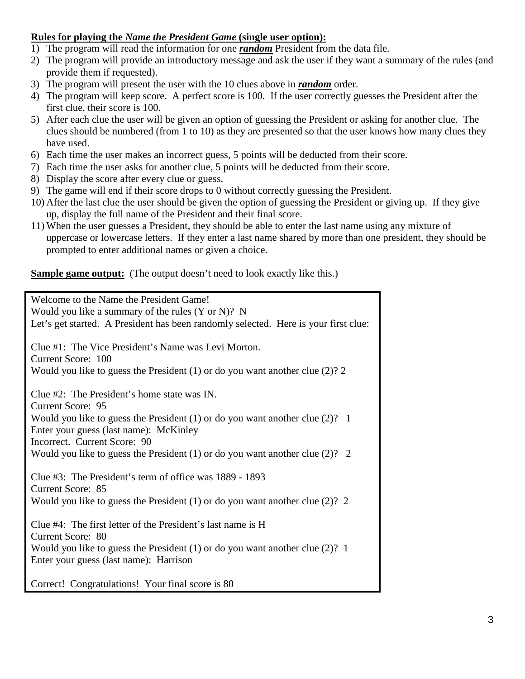### **Rules for playing the** *Name the President Game* **(single user option):**

- 1) The program will read the information for one *random* President from the data file.
- 2) The program will provide an introductory message and ask the user if they want a summary of the rules (and provide them if requested).
- 3) The program will present the user with the 10 clues above in *random* order.
- 4) The program will keep score. A perfect score is 100. If the user correctly guesses the President after the first clue, their score is 100.
- 5) After each clue the user will be given an option of guessing the President or asking for another clue. The clues should be numbered (from 1 to 10) as they are presented so that the user knows how many clues they have used.
- 6) Each time the user makes an incorrect guess, 5 points will be deducted from their score.
- 7) Each time the user asks for another clue, 5 points will be deducted from their score.
- 8) Display the score after every clue or guess.
- 9) The game will end if their score drops to 0 without correctly guessing the President.
- 10) After the last clue the user should be given the option of guessing the President or giving up. If they give up, display the full name of the President and their final score.
- 11) When the user guesses a President, they should be able to enter the last name using any mixture of uppercase or lowercase letters. If they enter a last name shared by more than one president, they should be prompted to enter additional names or given a choice.

**Sample game output:** (The output doesn't need to look exactly like this.)

Welcome to the Name the President Game! Would you like a summary of the rules (Y or N)? N Let's get started. A President has been randomly selected. Here is your first clue: Clue #1: The Vice President's Name was Levi Morton. Current Score: 100 Would you like to guess the President (1) or do you want another clue (2)? 2 Clue #2: The President's home state was IN. Current Score: 95 Would you like to guess the President (1) or do you want another clue (2)? 1 Enter your guess (last name): McKinley Incorrect. Current Score: 90 Would you like to guess the President (1) or do you want another clue (2)? 2 Clue #3: The President's term of office was 1889 - 1893 Current Score: 85 Would you like to guess the President (1) or do you want another clue (2)? 2 Clue #4: The first letter of the President's last name is H Current Score: 80 Would you like to guess the President (1) or do you want another clue (2)? 1 Enter your guess (last name): Harrison Correct! Congratulations! Your final score is 80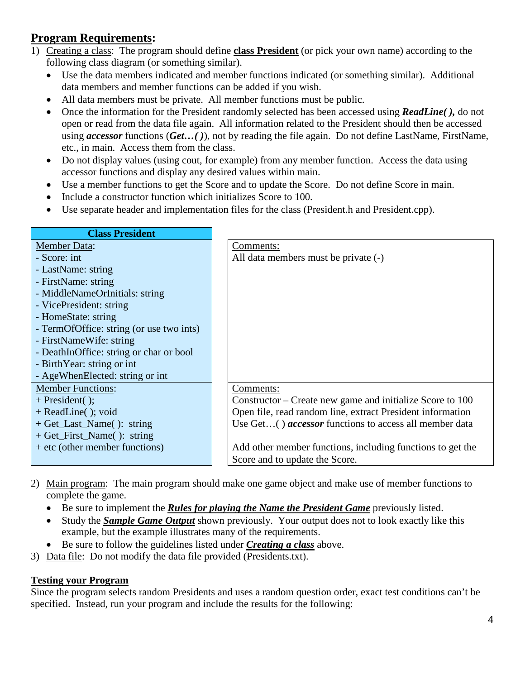# **Program Requirements:**

- 1) Creating a class: The program should define **class President** (or pick your own name) according to the following class diagram (or something similar).
	- Use the data members indicated and member functions indicated (or something similar). Additional data members and member functions can be added if you wish.
	- All data members must be private. All member functions must be public.
	- Once the information for the President randomly selected has been accessed using *ReadLine()*, do not open or read from the data file again. All information related to the President should then be accessed using *accessor* functions (*Get…( )*), not by reading the file again. Do not define LastName, FirstName, etc., in main. Access them from the class.
	- Do not display values (using cout, for example) from any member function. Access the data using accessor functions and display any desired values within main.
	- Use a member functions to get the Score and to update the Score. Do not define Score in main.
	- Include a constructor function which initializes Score to 100.
	- Use separate header and implementation files for the class (President.h and President.cpp).

| <b>Class President</b>                   |                                                               |
|------------------------------------------|---------------------------------------------------------------|
| <b>Member Data:</b>                      | Comments:                                                     |
| - Score: int                             | All data members must be private (-)                          |
| - LastName: string                       |                                                               |
| - FirstName: string                      |                                                               |
| - MiddleNameOrInitials: string           |                                                               |
| - VicePresident: string                  |                                                               |
| - HomeState: string                      |                                                               |
| - TermOfOffice: string (or use two ints) |                                                               |
| - FirstNameWife: string                  |                                                               |
| - DeathInOffice: string or char or bool  |                                                               |
| - Birth Year: string or int              |                                                               |
| - AgeWhenElected: string or int          |                                                               |
| <b>Member Functions:</b>                 | Comments:                                                     |
| $+$ President();                         | Constructor – Create new game and initialize Score to 100     |
| $+$ ReadLine( $)$ ; void                 | Open file, read random line, extract President information    |
| + Get_Last_Name(): string                | Use Get() <i>accessor</i> functions to access all member data |
| + Get_First_Name(): string               |                                                               |
| + etc (other member functions)           | Add other member functions, including functions to get the    |
|                                          | Score and to update the Score.                                |

- 2) Main program: The main program should make one game object and make use of member functions to complete the game.
	- Be sure to implement the *Rules for playing the Name the President Game* previously listed.
	- Study the *Sample Game Output* shown previously. Your output does not to look exactly like this example, but the example illustrates many of the requirements.
	- Be sure to follow the guidelines listed under *Creating a class* above.
- 3) Data file: Do not modify the data file provided (Presidents.txt).

#### **Testing your Program**

Since the program selects random Presidents and uses a random question order, exact test conditions can't be specified. Instead, run your program and include the results for the following: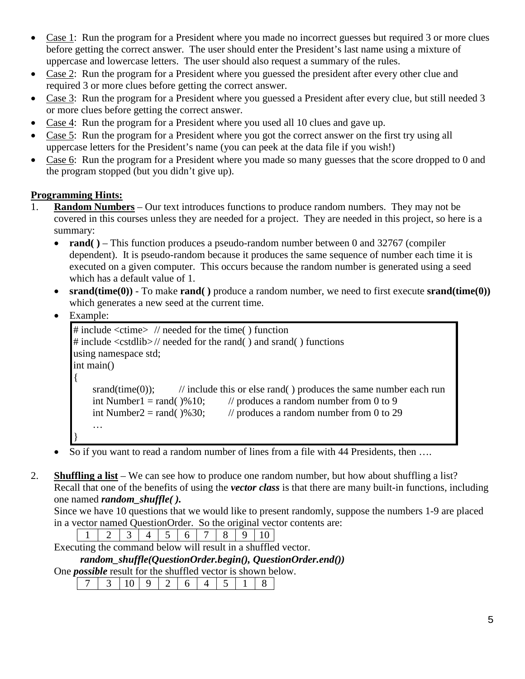- Case 1: Run the program for a President where you made no incorrect guesses but required 3 or more clues before getting the correct answer. The user should enter the President's last name using a mixture of uppercase and lowercase letters. The user should also request a summary of the rules.
- Case 2: Run the program for a President where you guessed the president after every other clue and required 3 or more clues before getting the correct answer.
- Case 3: Run the program for a President where you guessed a President after every clue, but still needed 3 or more clues before getting the correct answer.
- Case 4: Run the program for a President where you used all 10 clues and gave up.
- Case 5: Run the program for a President where you got the correct answer on the first try using all uppercase letters for the President's name (you can peek at the data file if you wish!)
- Case 6: Run the program for a President where you made so many guesses that the score dropped to 0 and the program stopped (but you didn't give up).

## **Programming Hints:**

- 1. **Random Numbers** Our text introduces functions to produce random numbers. They may not be covered in this courses unless they are needed for a project. They are needed in this project, so here is a summary:
	- **rand**( ) This function produces a pseudo-random number between 0 and 32767 (compiler dependent). It is pseudo-random because it produces the same sequence of number each time it is executed on a given computer. This occurs because the random number is generated using a seed which has a default value of 1.
	- **srand(time(0))** To make **rand( )** produce a random number, we need to first execute **srand(time(0))** which generates a new seed at the current time.
	- Example:

```
# include <ctime> // needed for the time( ) function
# include <cstdlib>// needed for the rand( ) and srand( ) functions
using namespace std;
int main()
{
    srand(time(0)); \frac{1}{2} include this or else rand( ) produces the same number each run
    int Number1 = rand(\frac{9}{6}10; // produces a random number from 0 to 9
    int Number2 = rand(\frac{9}{6}30; // produces a random number from 0 to 29
    …
}
```
- So if you want to read a random number of lines from a file with 44 Presidents, then ....
- 2. **Shuffling a list** We can see how to produce one random number, but how about shuffling a list? Recall that one of the benefits of using the *vector class* is that there are many built-in functions, including one named *random\_shuffle( ).*

Since we have 10 questions that we would like to present randomly, suppose the numbers 1-9 are placed in a vector named QuestionOrder. So the original vector contents are:

1 2 3 4 5 6 7 8 9 10

Executing the command below will result in a shuffled vector.

*random\_shuffle(QuestionOrder.begin(), QuestionOrder.end())* 

One *possible* result for the shuffled vector is shown below.

|--|--|--|--|--|--|--|--|--|--|